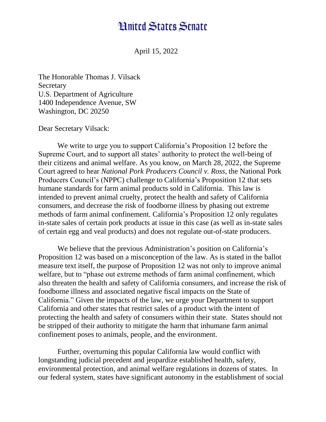## **Hnited States Senate**

April 15, 2022

The Honorable Thomas J. Vilsack **Secretary** U.S. Department of Agriculture 1400 Independence Avenue, SW Washington, DC 20250

Dear Secretary Vilsack:

We write to urge you to support California's Proposition 12 before the Supreme Court, and to support all states' authority to protect the well-being of their citizens and animal welfare. As you know, on March 28, 2022, the Supreme Court agreed to hear *National Pork Producers Council v. Ross,* the National Pork Producers Council's (NPPC) challenge to California's Proposition 12 that sets humane standards for farm animal products sold in California. This law is intended to prevent animal cruelty, protect the health and safety of California consumers, and decrease the risk of foodborne illness by phasing out extreme methods of farm animal confinement. California's Proposition 12 only regulates in-state sales of certain pork products at issue in this case (as well as in-state sales of certain egg and veal products) and does not regulate out-of-state producers.

We believe that the previous Administration's position on California's Proposition 12 was based on a misconception of the law. As is stated in the ballot measure text itself, the purpose of Proposition 12 was not only to improve animal welfare, but to "phase out extreme methods of farm animal confinement, which also threaten the health and safety of California consumers, and increase the risk of foodborne illness and associated negative fiscal impacts on the State of California." Given the impacts of the law, we urge your Department to support California and other states that restrict sales of a product with the intent of protecting the health and safety of consumers within their state. States should not be stripped of their authority to mitigate the harm that inhumane farm animal confinement poses to animals, people, and the environment.

Further, overturning this popular California law would conflict with longstanding judicial precedent and jeopardize established health, safety, environmental protection, and animal welfare regulations in dozens of states. In our federal system, states have significant autonomy in the establishment of social